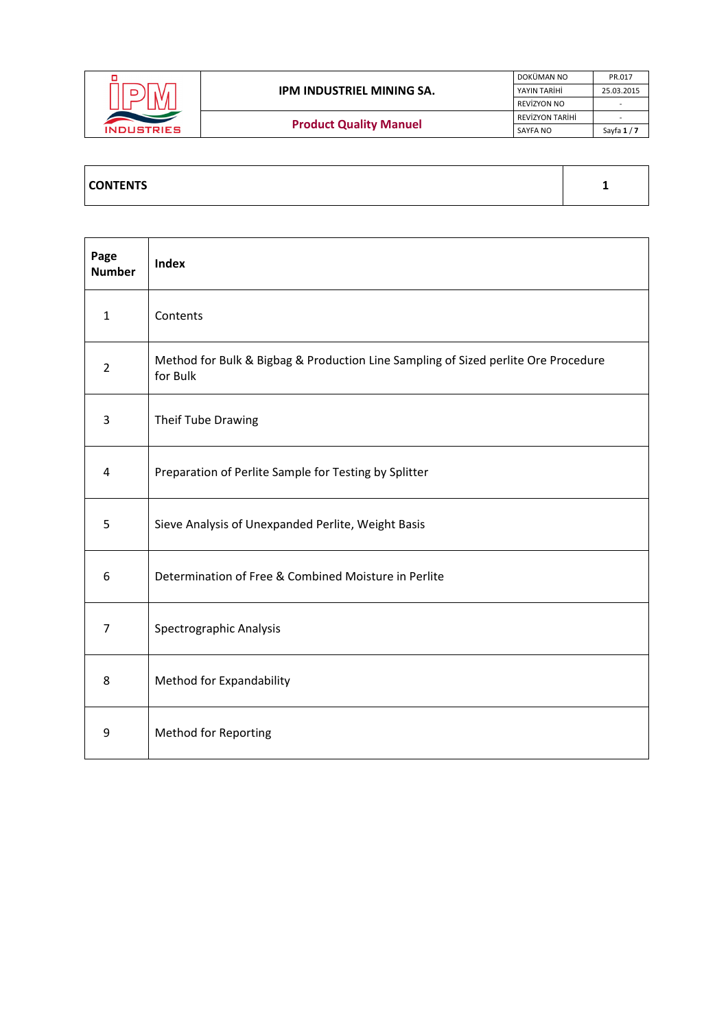|                   |                               | DOKÜMAN NO             | PR.017      |
|-------------------|-------------------------------|------------------------|-------------|
|                   | IPM INDUSTRIEL MINING SA.     | YAYIN TARİHİ           | 25.03.2015  |
|                   |                               | REVIZYON NO            |             |
|                   |                               | <b>REVIZYON TARIHI</b> |             |
| <b>INDUSTRIES</b> | <b>Product Quality Manuel</b> | SAYFA NO               | Sayfa $1/7$ |
|                   |                               |                        |             |

| Page<br><b>Number</b> | <b>Index</b>                                                                                   |
|-----------------------|------------------------------------------------------------------------------------------------|
| $\mathbf{1}$          | Contents                                                                                       |
| $\overline{2}$        | Method for Bulk & Bigbag & Production Line Sampling of Sized perlite Ore Procedure<br>for Bulk |
| 3                     | Theif Tube Drawing                                                                             |
| 4                     | Preparation of Perlite Sample for Testing by Splitter                                          |
| 5                     | Sieve Analysis of Unexpanded Perlite, Weight Basis                                             |
| 6                     | Determination of Free & Combined Moisture in Perlite                                           |
| $\overline{7}$        | Spectrographic Analysis                                                                        |
| 8                     | Method for Expandability                                                                       |
| 9                     | <b>Method for Reporting</b>                                                                    |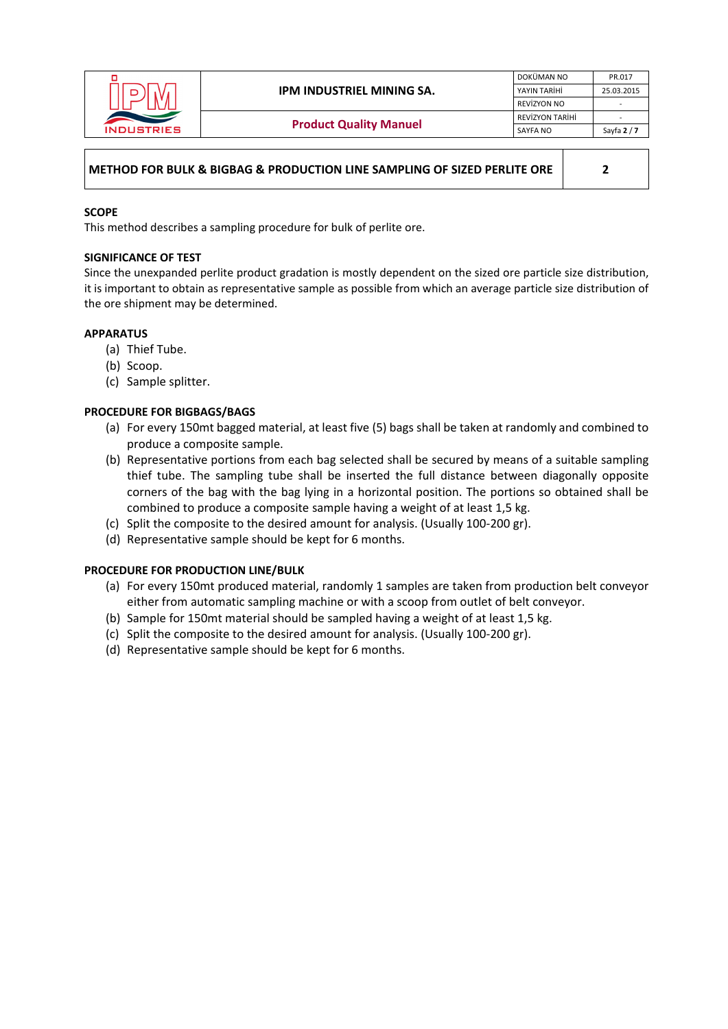

# **METHOD FOR BULK & BIGBAG & PRODUCTION LINE SAMPLING OF SIZED PERLITE ORE 2**

## **SCOPE**

This method describes a sampling procedure for bulk of perlite ore.

## **SIGNIFICANCE OF TEST**

Since the unexpanded perlite product gradation is mostly dependent on the sized ore particle size distribution, it is important to obtain as representative sample as possible from which an average particle size distribution of the ore shipment may be determined.

## **APPARATUS**

- (a) Thief Tube.
- (b) Scoop.
- (c) Sample splitter.

## **PROCEDURE FOR BIGBAGS/BAGS**

- (a) For every 150mt bagged material, at least five (5) bags shall be taken at randomly and combined to produce a composite sample.
- (b) Representative portions from each bag selected shall be secured by means of a suitable sampling thief tube. The sampling tube shall be inserted the full distance between diagonally opposite corners of the bag with the bag lying in a horizontal position. The portions so obtained shall be combined to produce a composite sample having a weight of at least 1,5 kg.
- (c) Split the composite to the desired amount for analysis. (Usually 100‐200 gr).
- (d) Representative sample should be kept for 6 months.

#### **PROCEDURE FOR PRODUCTION LINE/BULK**

- (a) For every 150mt produced material, randomly 1 samples are taken from production belt conveyor either from automatic sampling machine or with a scoop from outlet of belt conveyor.
- (b) Sample for 150mt material should be sampled having a weight of at least 1,5 kg.
- (c) Split the composite to the desired amount for analysis. (Usually 100‐200 gr).
- (d) Representative sample should be kept for 6 months.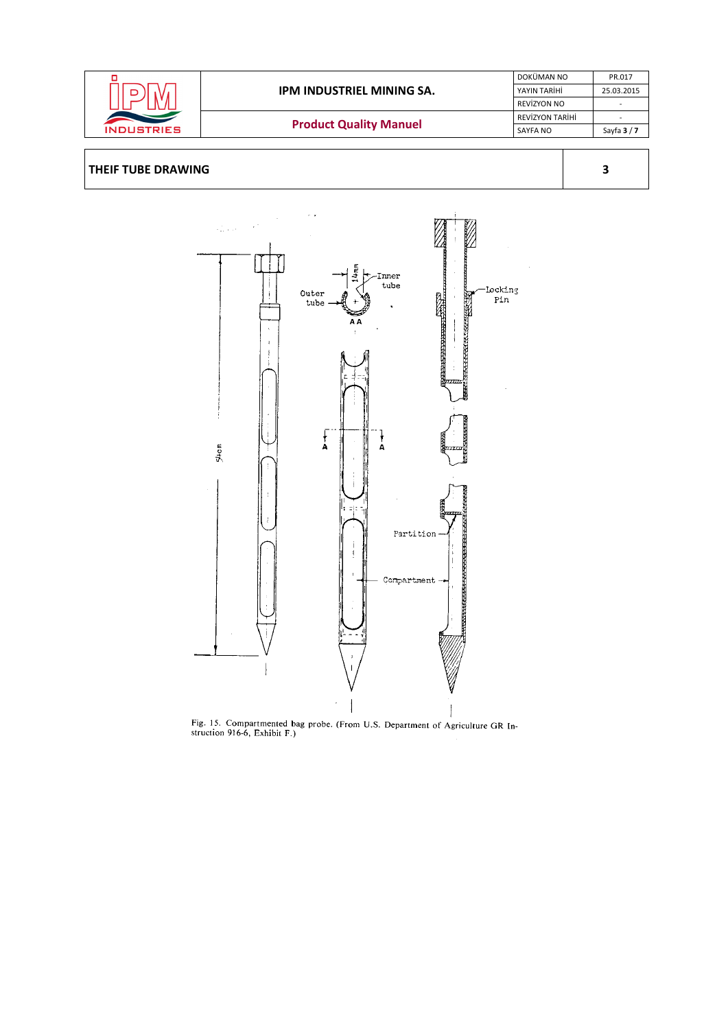



Fig. 15. Compartmented bag probe. (From U.S. Department of Agriculture GR Instruction 916-6, Exhibit F.)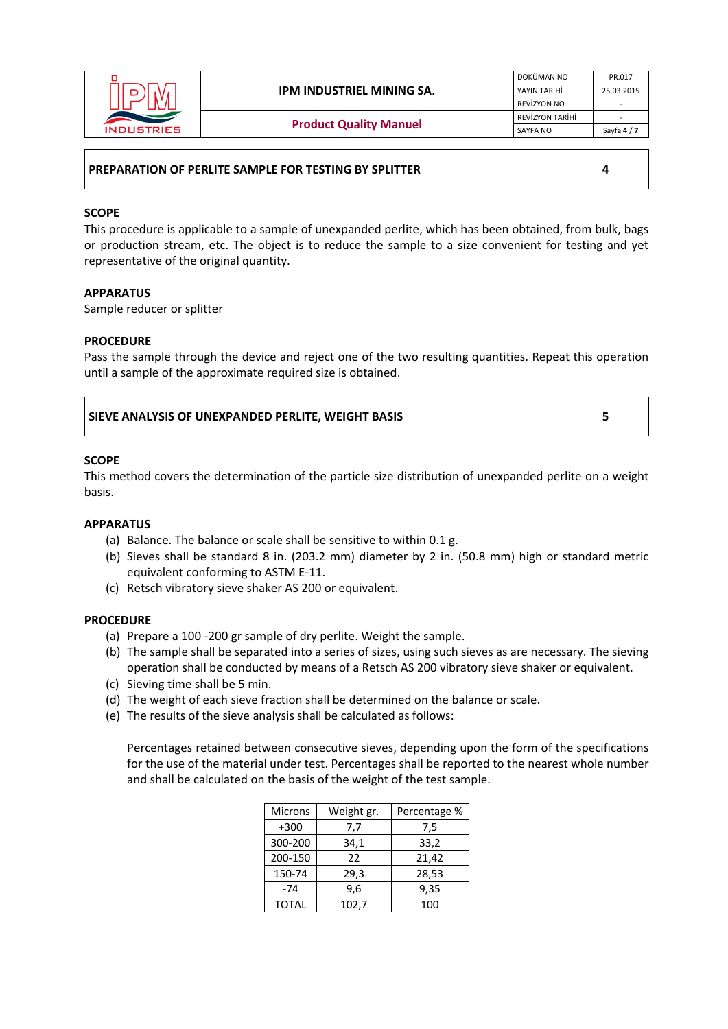|                   |                               | DOKÜMAN NO      | PR.017      |
|-------------------|-------------------------------|-----------------|-------------|
|                   | IPM INDUSTRIEL MINING SA.     | YAYIN TARİHİ    | 25.03.2015  |
|                   |                               | REVÍZYON NO     |             |
|                   |                               | REVİZYON TARİHİ |             |
| <b>INDUSTRIES</b> | <b>Product Quality Manuel</b> | SAYFA NO        | Sayfa $4/7$ |
|                   |                               |                 |             |

## **PREPARATION OF PERLITE SAMPLE FOR TESTING BY SPLITTER 4**

## **SCOPE**

This procedure is applicable to a sample of unexpanded perlite, which has been obtained, from bulk, bags or production stream, etc. The object is to reduce the sample to a size convenient for testing and yet representative of the original quantity.

## **APPARATUS**

Sample reducer or splitter

## **PROCEDURE**

Pass the sample through the device and reject one of the two resulting quantities. Repeat this operation until a sample of the approximate required size is obtained.

| <b>SIEVE ANALYSIS OF UNEXPANDED PERLITE. WEIGHT BASIS</b> |  |
|-----------------------------------------------------------|--|
|-----------------------------------------------------------|--|

## **SCOPE**

This method covers the determination of the particle size distribution of unexpanded perlite on a weight basis.

#### **APPARATUS**

- (a) Balance. The balance or scale shall be sensitive to within 0.1 g.
- (b) Sieves shall be standard 8 in. (203.2 mm) diameter by 2 in. (50.8 mm) high or standard metric equivalent conforming to ASTM E‐11.
- (c) Retsch vibratory sieve shaker AS 200 or equivalent.

# **PROCEDURE**

- (a) Prepare a 100 ‐200 gr sample of dry perlite. Weight the sample.
- (b) The sample shall be separated into a series of sizes, using such sieves as are necessary. The sieving operation shall be conducted by means of a Retsch AS 200 vibratory sieve shaker or equivalent.
- (c) Sieving time shall be 5 min.
- (d) The weight of each sieve fraction shall be determined on the balance or scale.
- (e) The results of the sieve analysis shall be calculated as follows:

Percentages retained between consecutive sieves, depending upon the form of the specifications for the use of the material under test. Percentages shall be reported to the nearest whole number and shall be calculated on the basis of the weight of the test sample.

| <b>Microns</b> | Weight gr. | Percentage % |
|----------------|------------|--------------|
| $+300$         | 7,7        | 7,5          |
| 300-200        | 34,1       | 33,2         |
| 200-150        | 22         | 21,42        |
| 150-74         | 29,3       | 28,53        |
| $-74$          | 9,6        | 9,35         |
| <b>TOTAL</b>   | 102,7      | 100          |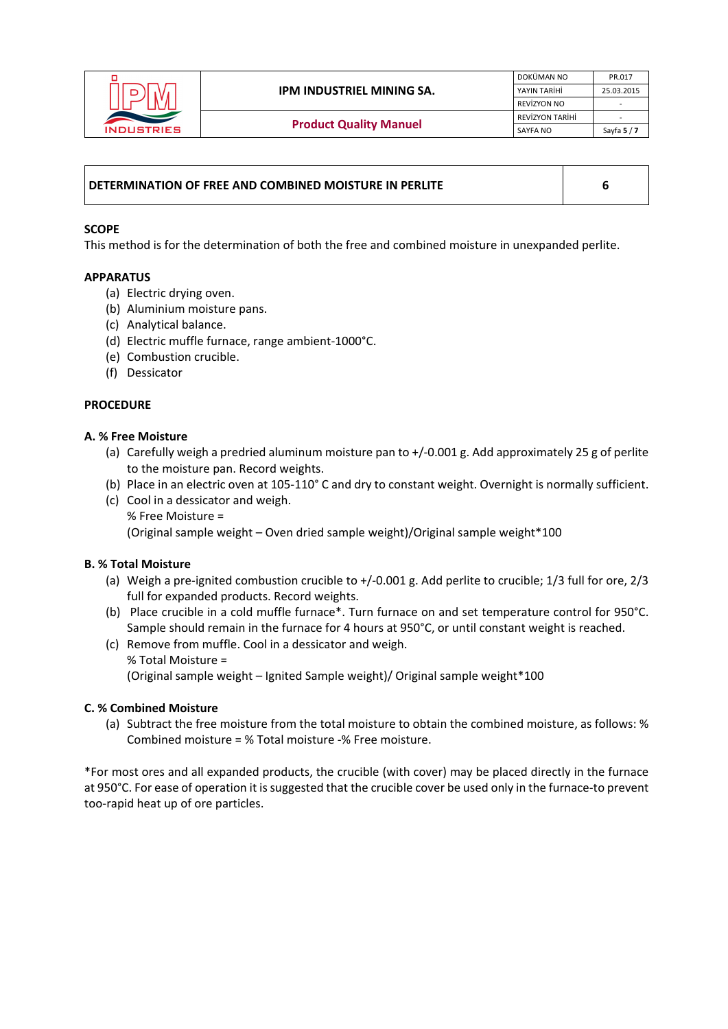

| DETERMINATION OF FREE AND COMBINED MOISTURE IN PERLITE |  |
|--------------------------------------------------------|--|
|                                                        |  |

## **SCOPE**

This method is for the determination of both the free and combined moisture in unexpanded perlite.

#### **APPARATUS**

- (a) Electric drying oven.
- (b) Aluminium moisture pans.
- (c) Analytical balance.
- (d) Electric muffle furnace, range ambient‐1000°C.
- (e) Combustion crucible.
- (f) Dessicator

## **PROCEDURE**

## **A. % Free Moisture**

- (a) Carefully weigh a predried aluminum moisture pan to +/‐0.001 g. Add approximately 25 g of perlite to the moisture pan. Record weights.
- (b) Place in an electric oven at 105-110° C and dry to constant weight. Overnight is normally sufficient.
- (c) Cool in a dessicator and weigh. % Free Moisture = (Original sample weight – Oven dried sample weight)/Original sample weight\*100

# **B. % Total Moisture**

- (a) Weigh a pre‐ignited combustion crucible to +/‐0.001 g. Add perlite to crucible; 1/3 full for ore, 2/3 full for expanded products. Record weights.
- (b) Place crucible in a cold muffle furnace\*. Turn furnace on and set temperature control for 950°C. Sample should remain in the furnace for 4 hours at 950°C, or until constant weight is reached.
- (c) Remove from muffle. Cool in a dessicator and weigh. % Total Moisture = (Original sample weight – Ignited Sample weight)/ Original sample weight\*100

# **C. % Combined Moisture**

(a) Subtract the free moisture from the total moisture to obtain the combined moisture, as follows: % Combined moisture = % Total moisture ‐% Free moisture.

\*For most ores and all expanded products, the crucible (with cover) may be placed directly in the furnace at 950°C. For ease of operation it is suggested that the crucible cover be used only in the furnace‐to prevent too‐rapid heat up of ore particles.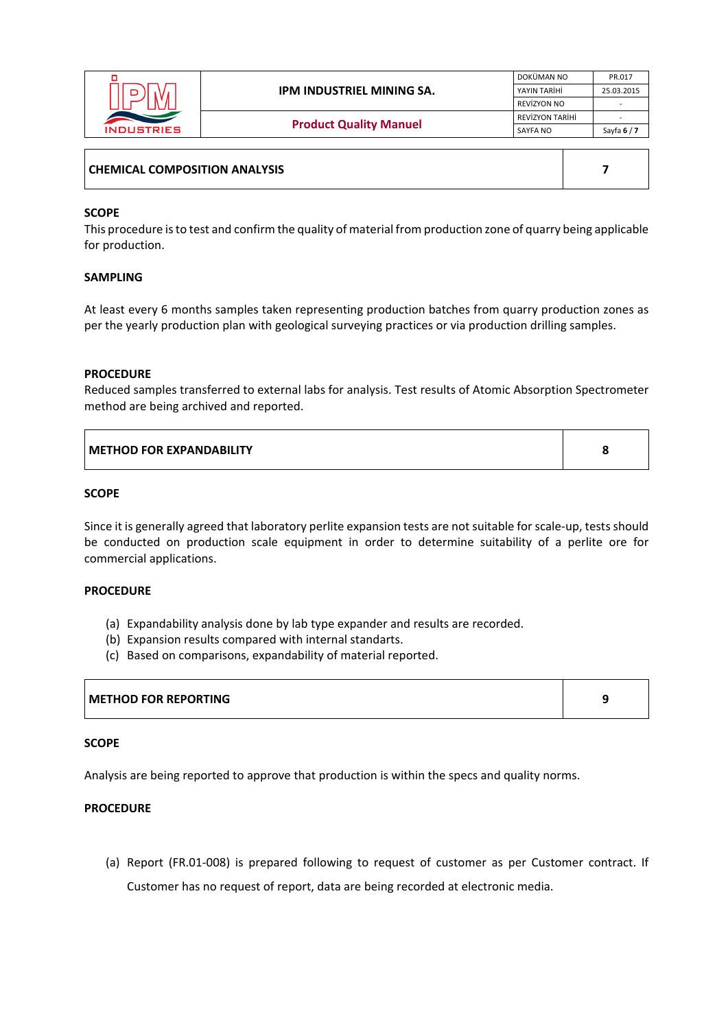|                   |                               | DOKÜMAN NO      | PR.017      |
|-------------------|-------------------------------|-----------------|-------------|
|                   | IPM INDUSTRIEL MINING SA.     | YAYIN TARİHİ    | 25.03.2015  |
|                   |                               | REVÍZYON NO     |             |
|                   | <b>Product Quality Manuel</b> | REVİZYON TARİHİ |             |
| <b>INDUSTRIES</b> |                               | SAYFA NO        | Sayfa $6/7$ |
|                   |                               |                 |             |

| <b>CHEMICAL COMPOSITION ANALYSIS</b> |  |
|--------------------------------------|--|
|--------------------------------------|--|

## **SCOPE**

This procedure is to test and confirm the quality of material from production zone of quarry being applicable for production.

#### **SAMPLING**

At least every 6 months samples taken representing production batches from quarry production zones as per the yearly production plan with geological surveying practices or via production drilling samples.

#### **PROCEDURE**

Reduced samples transferred to external labs for analysis. Test results of Atomic Absorption Spectrometer method are being archived and reported.

| <b>I METHOD FOR EXPANDABILITY</b> | c |
|-----------------------------------|---|
|                                   |   |

#### **SCOPE**

Since it is generally agreed that laboratory perlite expansion tests are not suitable for scale‐up, tests should be conducted on production scale equipment in order to determine suitability of a perlite ore for commercial applications.

### **PROCEDURE**

- (a) Expandability analysis done by lab type expander and results are recorded.
- (b) Expansion results compared with internal standarts.
- (c) Based on comparisons, expandability of material reported.

# **METHOD FOR REPORTING 9**

# **SCOPE**

Analysis are being reported to approve that production is within the specs and quality norms.

#### **PROCEDURE**

(a) Report (FR.01‐008) is prepared following to request of customer as per Customer contract. If Customer has no request of report, data are being recorded at electronic media.